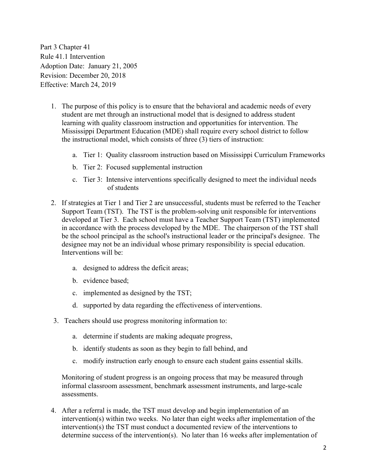Part 3 Chapter 41 Rule 41.1 Intervention Adoption Date: January 21, 2005 Revision: December 20, 2018 Effective: March 24, 2019

- 1. The purpose of this policy is to ensure that the behavioral and academic needs of every student are met through an instructional model that is designed to address student learning with quality classroom instruction and opportunities for intervention. The Mississippi Department Education (MDE) shall require every school district to follow the instructional model, which consists of three (3) tiers of instruction:
	- a. Tier 1: Quality classroom instruction based on Mississippi Curriculum Frameworks
	- b. Tier 2: Focused supplemental instruction
	- c. Tier 3: Intensive interventions specifically designed to meet the individual needs of students
- 2. If strategies at Tier 1 and Tier 2 are unsuccessful, students must be referred to the Teacher Support Team (TST). The TST is the problem-solving unit responsible for interventions developed at Tier 3. Each school must have a Teacher Support Team (TST) implemented in accordance with the process developed by the MDE. The chairperson of the TST shall be the school principal as the school's instructional leader or the principal's designee. The designee may not be an individual whose primary responsibility is special education. Interventions will be:
	- a. designed to address the deficit areas;
	- b. evidence based;
	- c. implemented as designed by the TST;
	- d. supported by data regarding the effectiveness of interventions.
- 3. Teachers should use progress monitoring information to:
	- a. determine if students are making adequate progress,
	- b. identify students as soon as they begin to fall behind, and
	- c. modify instruction early enough to ensure each student gains essential skills.

Monitoring of student progress is an ongoing process that may be measured through informal classroom assessment, benchmark assessment instruments, and large-scale assessments.

4. After a referral is made, the TST must develop and begin implementation of an intervention(s) within two weeks. No later than eight weeks after implementation of the intervention(s) the TST must conduct a documented review of the interventions to determine success of the intervention(s). No later than 16 weeks after implementation of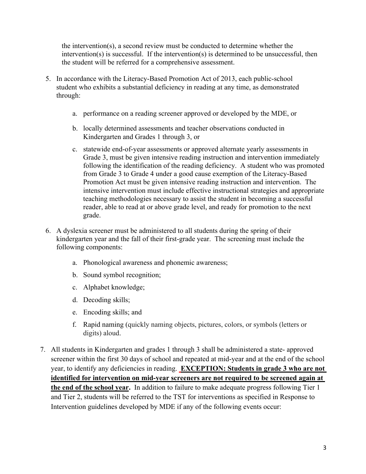the intervention(s), a second review must be conducted to determine whether the intervention(s) is successful. If the intervention(s) is determined to be unsuccessful, then the student will be referred for a comprehensive assessment.

- 5. In accordance with the Literacy-Based Promotion Act of 2013, each public-school student who exhibits a substantial deficiency in reading at any time, as demonstrated through:
	- a. performance on a reading screener approved or developed by the MDE, or
	- b. locally determined assessments and teacher observations conducted in Kindergarten and Grades 1 through 3, or
	- c. statewide end-of-year assessments or approved alternate yearly assessments in Grade 3, must be given intensive reading instruction and intervention immediately following the identification of the reading deficiency. A student who was promoted from Grade 3 to Grade 4 under a good cause exemption of the Literacy-Based Promotion Act must be given intensive reading instruction and intervention. The intensive intervention must include effective instructional strategies and appropriate teaching methodologies necessary to assist the student in becoming a successful reader, able to read at or above grade level, and ready for promotion to the next grade.
- 6. A dyslexia screener must be administered to all students during the spring of their kindergarten year and the fall of their first-grade year. The screening must include the following components:
	- a. Phonological awareness and phonemic awareness;
	- b. Sound symbol recognition;
	- c. Alphabet knowledge;
	- d. Decoding skills;
	- e. Encoding skills; and
	- f. Rapid naming (quickly naming objects, pictures, colors, or symbols (letters or digits) aloud.
- 7. All students in Kindergarten and grades 1 through 3 shall be administered a state- approved screener within the first 30 days of school and repeated at mid-year and at the end of the school year, to identify any deficiencies in reading. **EXCEPTION: Students in grade 3 who are not identified for intervention on mid-year screeners are not required to be screened again at the end of the school year.** In addition to failure to make adequate progress following Tier 1 and Tier 2, students will be referred to the TST for interventions as specified in Response to Intervention guidelines developed by MDE if any of the following events occur: